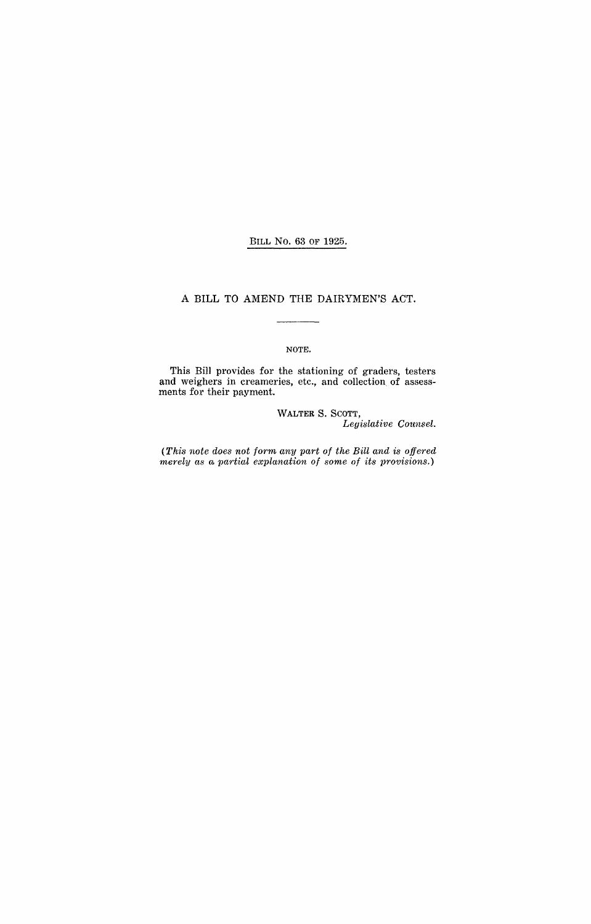#### BILL No. 63 OF 1925.

### A BILL TO AMEND THE DAIRYMEN'S ACT.

#### NOTE.

This Bill provides for the stationing of graders, testers and weighers in creameries, etc., and collection of assessments for their payment.

> WALTER S. SCOTT, *Legislative Counsel.*

*(This note does not form any part of the Bill and is offered merely as a partial explanation of some of its provisions.*)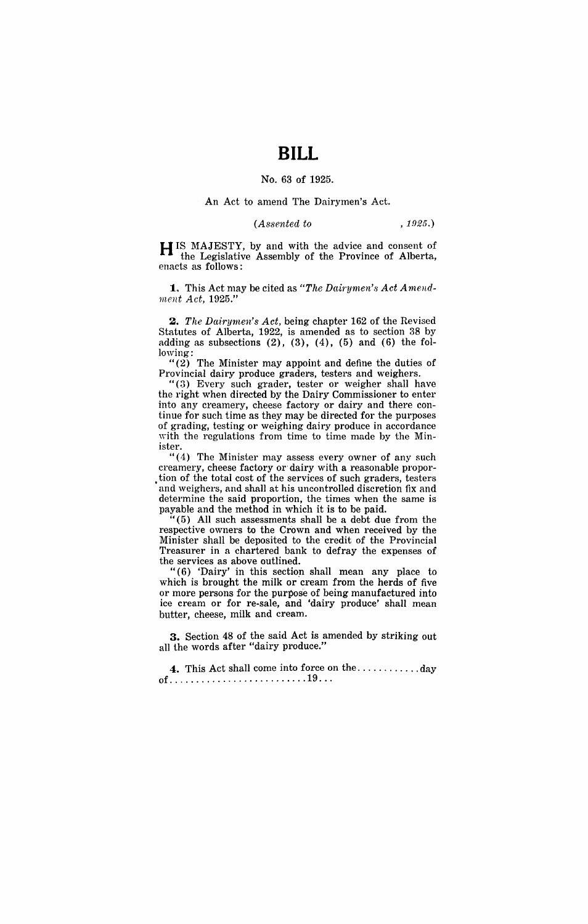## **BILL**

#### No. 63 of 1925.

#### An Act to amend The Dairymen's Act.

*(Assented to* , 1925.)

H IS MAJESTY, by and with the advice and consent of the Legislative Assembly of the Province of Alberta, enacts as follows:

**1.** This Act may be cited as "The Dairymen's Act Amend*ment Act, 1925."* 

**2.** *The Dairymen's Act,* being chapter 162 of the Revised Statutes of Alberta, 1922, is amended as to section 38 by adding as subsections  $(2)$ ,  $(3)$ ,  $(4)$ ,  $(5)$  and  $(6)$  the following:

"(2) The Minister may appoint and define the duties of Provincial dairy produce graders, testers and weighers.

"(3) Every such grader, tester or weigher shall have the right when directed by the Dairy Commissioner to enter into any creamery, cheese factory or dairy and there continue for such time as they may be directed for the purposes of grading, testing or weighing dairy produce in accordance with the regulations from time to time made by the Minister.

"(4) The Minister may assess every owner of any such creamery, cheese factory or'dairy with a reasonable propor tion of the total cost of the services of such graders, testers and weighers, and shall at his uncontrolled discretion fix and determine the said proportion, the times when the same is payable and the method in which it is to be paid.

" (5) All such assessments shall be a debt due from the respective owners to the Crown and when received by the Minister shall be deposited to the credit of the Provincial Treasurer in a chartered bank to defray the expenses of the services as above outlined.

" $(6)$  'Dairy' in this section shall mean any place to which is brought the milk or cream from the herds of five or more persons for the purpose of being manufactured into ice cream or for re-sale, and 'dairy produce' shall mean butter, cheese, milk and cream.

**3.** Section 48 of the said Act is amended by striking out all the words after "dairy produce."

**4.** This Act shall come into force on the ............ day of .......................... 19 .. .